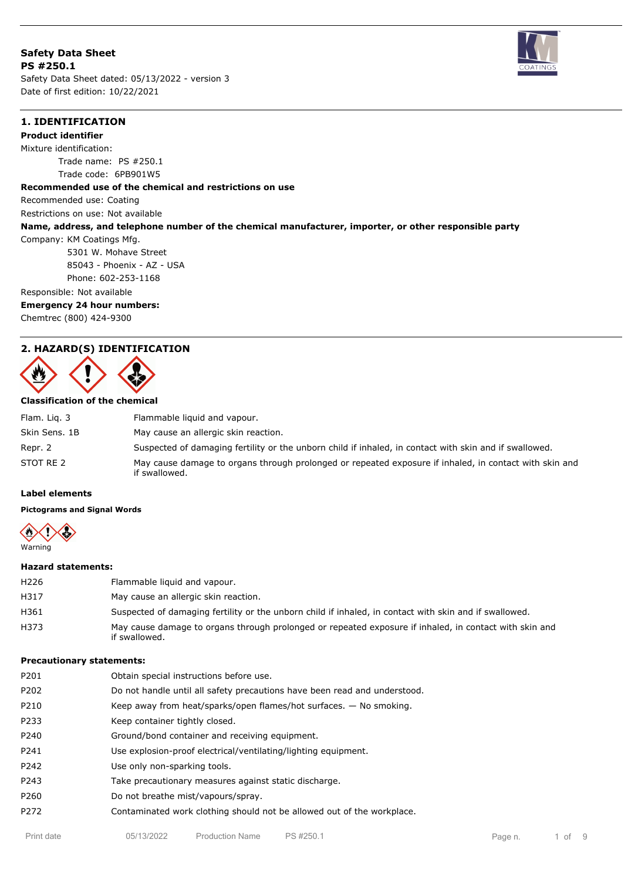## **Safety Data Sheet PS #250.1** Safety Data Sheet dated: 05/13/2022 - version 3 Date of first edition: 10/22/2021



## **1. IDENTIFICATION**

**Product identifier** Mixture identification:

> Trade name: PS #250.1 Trade code: 6PB901W5

## **Recommended use of the chemical and restrictions on use**

Recommended use: Coating

Restrictions on use: Not available

## **Name, address, and telephone number of the chemical manufacturer, importer, or other responsible party**

Company: KM Coatings Mfg.

5301 W. Mohave Street 85043 - Phoenix - AZ - USA Phone: 602-253-1168

# Responsible: Not available

**Emergency 24 hour numbers:**

# Chemtrec (800) 424-9300

# **2. HAZARD(S) IDENTIFICATION**



## **Classification of the chemical**

| Flam. Lig. 3  | Flammable liquid and vapour.                                                                                            |
|---------------|-------------------------------------------------------------------------------------------------------------------------|
| Skin Sens, 1B | May cause an allergic skin reaction.                                                                                    |
| Repr. 2       | Suspected of damaging fertility or the unborn child if inhaled, in contact with skin and if swallowed.                  |
| STOT RE 2     | May cause damage to organs through prolonged or repeated exposure if inhaled, in contact with skin and<br>if swallowed. |

## **Label elements**

## **Pictograms and Signal Words**



## **Hazard statements:**

| H <sub>226</sub> | Flammable liquid and vapour.                                                                                            |
|------------------|-------------------------------------------------------------------------------------------------------------------------|
| H317             | May cause an allergic skin reaction.                                                                                    |
| H361             | Suspected of damaging fertility or the unborn child if inhaled, in contact with skin and if swallowed.                  |
| H373             | May cause damage to organs through prolonged or repeated exposure if inhaled, in contact with skin and<br>if swallowed. |

## **Precautionary statements:**

| P <sub>201</sub> | Obtain special instructions before use.                                   |
|------------------|---------------------------------------------------------------------------|
| P202             | Do not handle until all safety precautions have been read and understood. |
| P210             | Keep away from heat/sparks/open flames/hot surfaces. - No smoking.        |
| P233             | Keep container tightly closed.                                            |
| P240             | Ground/bond container and receiving equipment.                            |
| P241             | Use explosion-proof electrical/ventilating/lighting equipment.            |
| P242             | Use only non-sparking tools.                                              |
| P243             | Take precautionary measures against static discharge.                     |
| P260             | Do not breathe mist/vapours/spray.                                        |
| P272             | Contaminated work clothing should not be allowed out of the workplace.    |
|                  |                                                                           |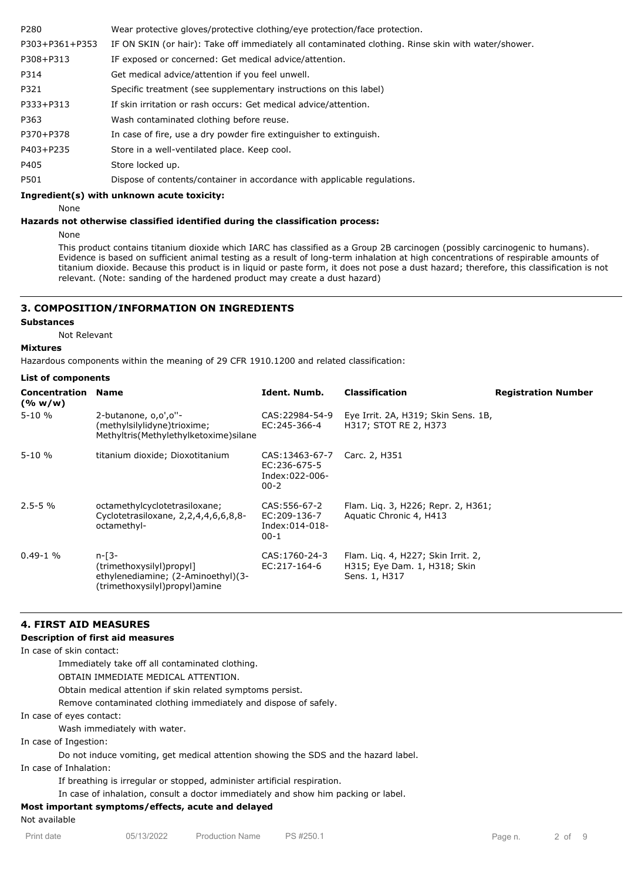| P280           | Wear protective gloves/protective clothing/eye protection/face protection.                          |  |  |  |
|----------------|-----------------------------------------------------------------------------------------------------|--|--|--|
| P303+P361+P353 | IF ON SKIN (or hair): Take off immediately all contaminated clothing. Rinse skin with water/shower. |  |  |  |
| P308+P313      | IF exposed or concerned: Get medical advice/attention.                                              |  |  |  |
| P314           | Get medical advice/attention if you feel unwell.                                                    |  |  |  |
| P321           | Specific treatment (see supplementary instructions on this label)                                   |  |  |  |
| P333+P313      | If skin irritation or rash occurs: Get medical advice/attention.                                    |  |  |  |
| P363           | Wash contaminated clothing before reuse.                                                            |  |  |  |
| P370+P378      | In case of fire, use a dry powder fire extinguisher to extinguish.                                  |  |  |  |
| P403+P235      | Store in a well-ventilated place. Keep cool.                                                        |  |  |  |
| P405           | Store locked up.                                                                                    |  |  |  |
| P501           | Dispose of contents/container in accordance with applicable regulations.                            |  |  |  |

## **Ingredient(s) with unknown acute toxicity:**

None

## **Hazards not otherwise classified identified during the classification process:**

None

This product contains titanium dioxide which IARC has classified as a Group 2B carcinogen (possibly carcinogenic to humans). Evidence is based on sufficient animal testing as a result of long-term inhalation at high concentrations of respirable amounts of titanium dioxide. Because this product is in liquid or paste form, it does not pose a dust hazard; therefore, this classification is not relevant. (Note: sanding of the hardened product may create a dust hazard)

## **3. COMPOSITION/INFORMATION ON INGREDIENTS**

**Substances**

Not Relevant

#### **Mixtures**

Hazardous components within the meaning of 29 CFR 1910.1200 and related classification:

#### **List of components**

| Concentration<br>(% w/w) | Name                                                                                                         | Ident. Numb.                                                   | <b>Classification</b>                                                               | <b>Registration Number</b> |
|--------------------------|--------------------------------------------------------------------------------------------------------------|----------------------------------------------------------------|-------------------------------------------------------------------------------------|----------------------------|
| $5 - 10%$                | 2-butanone, 0,0',0"-<br>(methylsilylidyne)trioxime;<br>Methyltris(Methylethylketoxime)silane                 | CAS: 22984-54-9<br>EC: 245-366-4                               | Eye Irrit. 2A, H319; Skin Sens. 1B,<br>H317; STOT RE 2, H373                        |                            |
| $5 - 10 \%$              | titanium dioxide; Dioxotitanium                                                                              | CAS: 13463-67-7<br>EC:236-675-5<br>Index: 022-006-<br>$00 - 2$ | Carc. 2, H351                                                                       |                            |
| $2.5 - 5%$               | octamethylcyclotetrasiloxane;<br>Cyclotetrasiloxane, 2,2,4,4,6,6,8,8-<br>octamethyl-                         | CAS: 556-67-2<br>EC: 209-136-7<br>Index:014-018-<br>$00-1$     | Flam. Lig. 3, H226; Repr. 2, H361;<br>Aquatic Chronic 4, H413                       |                            |
| $0.49 - 1 %$             | $n - 3 -$<br>(trimethoxysilyl)propyl]<br>ethylenediamine; (2-Aminoethyl)(3-<br>(trimethoxysilyl)propyl)amine | CAS: 1760-24-3<br>EC: 217-164-6                                | Flam. Lig. 4, H227; Skin Irrit. 2,<br>H315; Eye Dam. 1, H318; Skin<br>Sens. 1, H317 |                            |

## **4. FIRST AID MEASURES**

## **Description of first aid measures**

In case of skin contact:

Immediately take off all contaminated clothing.

OBTAIN IMMEDIATE MEDICAL ATTENTION.

Obtain medical attention if skin related symptoms persist.

Remove contaminated clothing immediately and dispose of safely.

In case of eyes contact:

Wash immediately with water.

In case of Ingestion:

Do not induce vomiting, get medical attention showing the SDS and the hazard label.

In case of Inhalation:

If breathing is irregular or stopped, administer artificial respiration.

In case of inhalation, consult a doctor immediately and show him packing or label.

## **Most important symptoms/effects, acute and delayed**

## Not available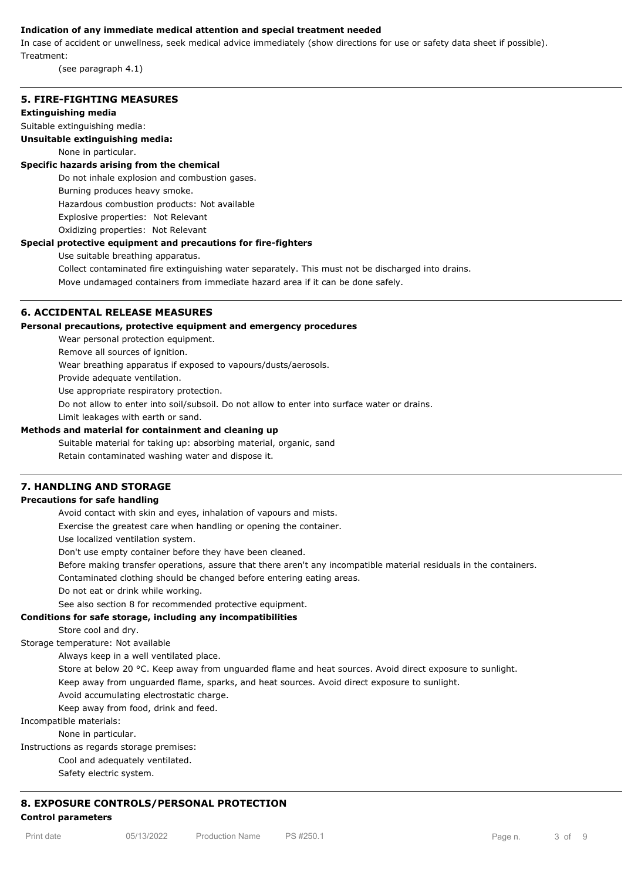## **Indication of any immediate medical attention and special treatment needed**

In case of accident or unwellness, seek medical advice immediately (show directions for use or safety data sheet if possible). Treatment:

(see paragraph 4.1)

#### **5. FIRE-FIGHTING MEASURES**

#### **Extinguishing media**

#### Suitable extinguishing media:

#### **Unsuitable extinguishing media:**

None in particular.

## **Specific hazards arising from the chemical**

Do not inhale explosion and combustion gases.

Burning produces heavy smoke.

Hazardous combustion products: Not available

Explosive properties: Not Relevant

Oxidizing properties: Not Relevant

#### **Special protective equipment and precautions for fire-fighters**

Use suitable breathing apparatus.

Collect contaminated fire extinguishing water separately. This must not be discharged into drains.

Move undamaged containers from immediate hazard area if it can be done safely.

## **6. ACCIDENTAL RELEASE MEASURES**

#### **Personal precautions, protective equipment and emergency procedures**

Wear personal protection equipment.

Remove all sources of ignition.

Wear breathing apparatus if exposed to vapours/dusts/aerosols.

Provide adequate ventilation.

Use appropriate respiratory protection.

Do not allow to enter into soil/subsoil. Do not allow to enter into surface water or drains.

Limit leakages with earth or sand.

## **Methods and material for containment and cleaning up**

Suitable material for taking up: absorbing material, organic, sand

Retain contaminated washing water and dispose it.

## **7. HANDLING AND STORAGE**

## **Precautions for safe handling**

Avoid contact with skin and eyes, inhalation of vapours and mists.

Exercise the greatest care when handling or opening the container.

Use localized ventilation system.

Don't use empty container before they have been cleaned.

Before making transfer operations, assure that there aren't any incompatible material residuals in the containers.

Contaminated clothing should be changed before entering eating areas.

Do not eat or drink while working.

See also section 8 for recommended protective equipment.

## **Conditions for safe storage, including any incompatibilities**

Store cool and dry.

Storage temperature: Not available

Always keep in a well ventilated place.

Store at below 20 °C. Keep away from unguarded flame and heat sources. Avoid direct exposure to sunlight. Keep away from unguarded flame, sparks, and heat sources. Avoid direct exposure to sunlight.

Avoid accumulating electrostatic charge.

Keep away from food, drink and feed.

Incompatible materials:

None in particular.

Instructions as regards storage premises:

Cool and adequately ventilated.

Safety electric system.

# **8. EXPOSURE CONTROLS/PERSONAL PROTECTION**

# **Control parameters**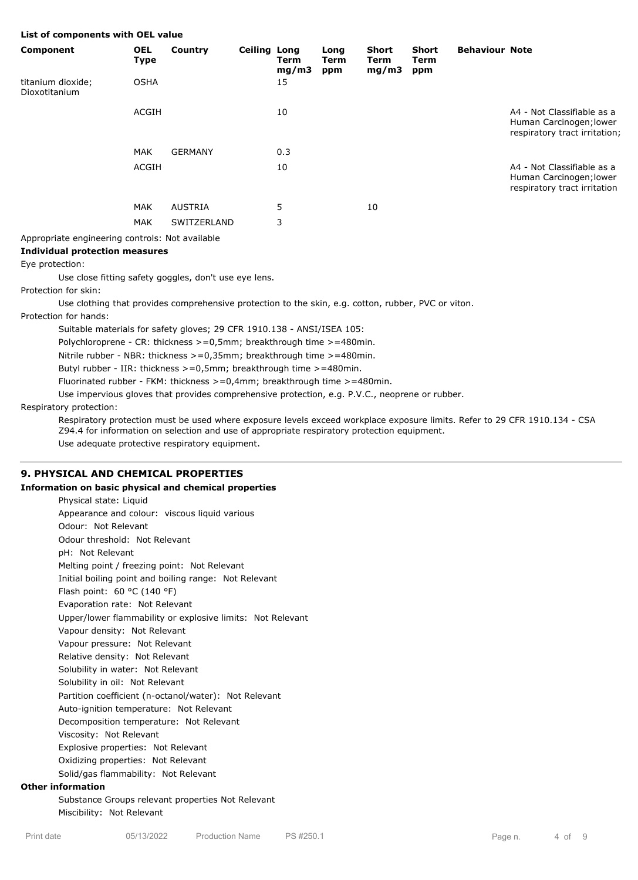## **List of components with OEL value**

| Component                          | <b>OEL</b><br><b>Type</b> | Country        | <b>Ceiling Long</b> | Term<br>mg/m3 | Long<br>Term<br>ppm | <b>Short</b><br>Term<br>mg/m3 | <b>Short</b><br><b>Term</b><br>ppm | <b>Behaviour Note</b> |                                                                                        |
|------------------------------------|---------------------------|----------------|---------------------|---------------|---------------------|-------------------------------|------------------------------------|-----------------------|----------------------------------------------------------------------------------------|
| titanium dioxide;<br>Dioxotitanium | <b>OSHA</b>               |                |                     | 15            |                     |                               |                                    |                       |                                                                                        |
|                                    | ACGIH                     |                |                     | 10            |                     |                               |                                    |                       | A4 - Not Classifiable as a<br>Human Carcinogen; lower<br>respiratory tract irritation; |
|                                    | MAK                       | <b>GERMANY</b> |                     | 0.3           |                     |                               |                                    |                       |                                                                                        |
|                                    | <b>ACGIH</b>              |                |                     | 10            |                     |                               |                                    |                       | A4 - Not Classifiable as a<br>Human Carcinogen; lower<br>respiratory tract irritation  |
|                                    | <b>MAK</b>                | <b>AUSTRIA</b> |                     | 5             |                     | 10                            |                                    |                       |                                                                                        |
|                                    | MAK                       | SWITZERLAND    |                     | 3             |                     |                               |                                    |                       |                                                                                        |
| .                                  |                           | .              |                     |               |                     |                               |                                    |                       |                                                                                        |

## Appropriate engineering controls: Not available

## **Individual protection measures**

Eye protection:

Use close fitting safety goggles, don't use eye lens.

## Protection for skin:

Use clothing that provides comprehensive protection to the skin, e.g. cotton, rubber, PVC or viton.

Protection for hands:

Suitable materials for safety gloves; 29 CFR 1910.138 - ANSI/ISEA 105:

Polychloroprene - CR: thickness >=0,5mm; breakthrough time >=480min.

Nitrile rubber - NBR: thickness >=0,35mm; breakthrough time >=480min.

Butyl rubber - IIR: thickness >=0,5mm; breakthrough time >=480min.

Fluorinated rubber - FKM: thickness >=0,4mm; breakthrough time >=480min.

Use impervious gloves that provides comprehensive protection, e.g. P.V.C., neoprene or rubber.

## Respiratory protection:

Respiratory protection must be used where exposure levels exceed workplace exposure limits. Refer to 29 CFR 1910.134 - CSA Z94.4 for information on selection and use of appropriate respiratory protection equipment.

Use adequate protective respiratory equipment.

## **9. PHYSICAL AND CHEMICAL PROPERTIES**

## **Information on basic physical and chemical properties**

| Physical state: Liquid                                     |  |  |  |  |
|------------------------------------------------------------|--|--|--|--|
| Appearance and colour: viscous liquid various              |  |  |  |  |
| Odour: Not Relevant                                        |  |  |  |  |
| Odour threshold: Not Relevant                              |  |  |  |  |
| pH: Not Relevant                                           |  |  |  |  |
| Melting point / freezing point: Not Relevant               |  |  |  |  |
| Initial boiling point and boiling range: Not Relevant      |  |  |  |  |
| Flash point: $60 °C$ (140 °F)                              |  |  |  |  |
| Evaporation rate: Not Relevant                             |  |  |  |  |
| Upper/lower flammability or explosive limits: Not Relevant |  |  |  |  |
| Vapour density: Not Relevant                               |  |  |  |  |
| Vapour pressure: Not Relevant                              |  |  |  |  |
| Relative density: Not Relevant                             |  |  |  |  |
| Solubility in water: Not Relevant                          |  |  |  |  |
| Solubility in oil: Not Relevant                            |  |  |  |  |
| Partition coefficient (n-octanol/water): Not Relevant      |  |  |  |  |
| Auto-ignition temperature: Not Relevant                    |  |  |  |  |
| Decomposition temperature: Not Relevant                    |  |  |  |  |
| Viscosity: Not Relevant                                    |  |  |  |  |
| Explosive properties: Not Relevant                         |  |  |  |  |
| Oxidizing properties: Not Relevant                         |  |  |  |  |
| Solid/gas flammability: Not Relevant                       |  |  |  |  |

#### **Other information**

Substance Groups relevant properties Not Relevant Miscibility: Not Relevant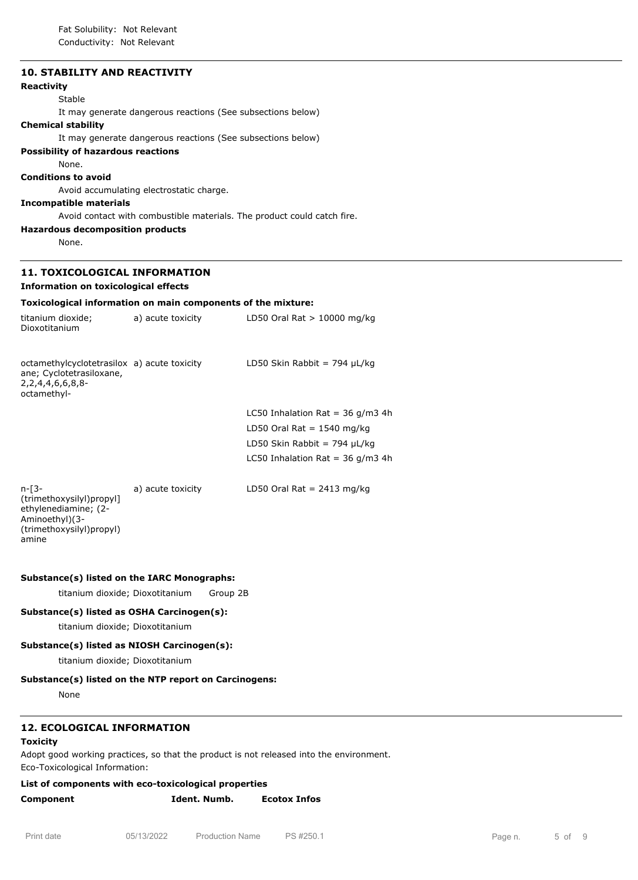| <b>10. STABILITY AND REACTIVITY</b><br><b>Reactivity</b>                                                             |                                          |                                                                                         |
|----------------------------------------------------------------------------------------------------------------------|------------------------------------------|-----------------------------------------------------------------------------------------|
| Stable                                                                                                               |                                          |                                                                                         |
|                                                                                                                      |                                          | It may generate dangerous reactions (See subsections below)                             |
| <b>Chemical stability</b>                                                                                            |                                          |                                                                                         |
|                                                                                                                      |                                          | It may generate dangerous reactions (See subsections below)                             |
| <b>Possibility of hazardous reactions</b>                                                                            |                                          |                                                                                         |
| None.<br><b>Conditions to avoid</b>                                                                                  |                                          |                                                                                         |
|                                                                                                                      | Avoid accumulating electrostatic charge. |                                                                                         |
| <b>Incompatible materials</b>                                                                                        |                                          |                                                                                         |
|                                                                                                                      |                                          | Avoid contact with combustible materials. The product could catch fire.                 |
| <b>Hazardous decomposition products</b>                                                                              |                                          |                                                                                         |
| None.                                                                                                                |                                          |                                                                                         |
| <b>11. TOXICOLOGICAL INFORMATION</b>                                                                                 |                                          |                                                                                         |
| <b>Information on toxicological effects</b>                                                                          |                                          |                                                                                         |
| Toxicological information on main components of the mixture:                                                         |                                          |                                                                                         |
| titanium dioxide;<br>Dioxotitanium                                                                                   | a) acute toxicity                        | LD50 Oral Rat > 10000 mg/kg                                                             |
| octamethylcyclotetrasilox a) acute toxicity<br>ane; Cyclotetrasiloxane,<br>2, 2, 4, 4, 6, 6, 8, 8-<br>octamethyl-    |                                          | LD50 Skin Rabbit = 794 $\mu$ L/kg                                                       |
|                                                                                                                      |                                          | LC50 Inhalation Rat = $36$ g/m3 4h                                                      |
|                                                                                                                      |                                          | LD50 Oral Rat = $1540$ mg/kg                                                            |
|                                                                                                                      |                                          |                                                                                         |
|                                                                                                                      |                                          | LD50 Skin Rabbit = 794 $\mu$ L/kg                                                       |
|                                                                                                                      |                                          | LC50 Inhalation Rat = $36$ g/m3 4h                                                      |
| $n - 3 -$<br>(trimethoxysilyl)propyl]<br>ethylenediamine; (2-<br>Aminoethyl)(3-<br>(trimethoxysilyl)propyl)<br>amine | a) acute toxicity                        | LD50 Oral Rat = $2413$ mg/kg                                                            |
| Substance(s) listed on the IARC Monographs:                                                                          |                                          |                                                                                         |
| titanium dioxide; Dioxotitanium                                                                                      |                                          | Group 2B                                                                                |
| Substance(s) listed as OSHA Carcinogen(s):<br>titanium dioxide; Dioxotitanium                                        |                                          |                                                                                         |
| Substance(s) listed as NIOSH Carcinogen(s):                                                                          |                                          |                                                                                         |
| titanium dioxide; Dioxotitanium                                                                                      |                                          |                                                                                         |
| Substance(s) listed on the NTP report on Carcinogens:<br>None                                                        |                                          |                                                                                         |
| <b>12. ECOLOGICAL INFORMATION</b><br><b>Toxicity</b>                                                                 |                                          |                                                                                         |
| Eco-Toxicological Information:                                                                                       |                                          | Adopt good working practices, so that the product is not released into the environment. |
| List of components with eco-toxicological properties                                                                 |                                          |                                                                                         |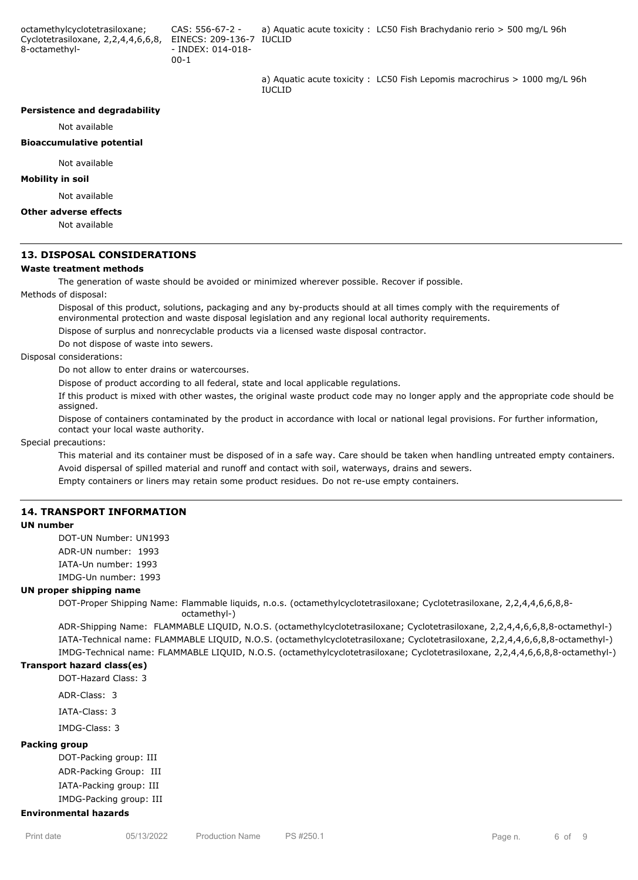octamethylcyclotetrasiloxane; Cyclotetrasiloxane, 2,2,4,4,6,6,8, EINECS: 209-136-7 IUCLID 8-octamethyl-CAS: 556-67-2 - - INDEX: 014-018-  $00 - 1$ a) Aquatic acute toxicity : LC50 Fish Brachydanio rerio > 500 mg/L 96h

> a) Aquatic acute toxicity : LC50 Fish Lepomis macrochirus > 1000 mg/L 96h IUCLID

#### **Persistence and degradability**

Not available

#### **Bioaccumulative potential**

#### Not available

**Mobility in soil**

Not available

#### **Other adverse effects**

Not available

#### **13. DISPOSAL CONSIDERATIONS**

#### **Waste treatment methods**

The generation of waste should be avoided or minimized wherever possible. Recover if possible.

Methods of disposal:

Disposal of this product, solutions, packaging and any by-products should at all times comply with the requirements of environmental protection and waste disposal legislation and any regional local authority requirements.

Dispose of surplus and nonrecyclable products via a licensed waste disposal contractor.

Do not dispose of waste into sewers.

#### Disposal considerations:

Do not allow to enter drains or watercourses.

Dispose of product according to all federal, state and local applicable regulations.

If this product is mixed with other wastes, the original waste product code may no longer apply and the appropriate code should be assigned.

Dispose of containers contaminated by the product in accordance with local or national legal provisions. For further information, contact your local waste authority.

Special precautions:

This material and its container must be disposed of in a safe way. Care should be taken when handling untreated empty containers. Avoid dispersal of spilled material and runoff and contact with soil, waterways, drains and sewers.

Empty containers or liners may retain some product residues. Do not re-use empty containers.

#### **14. TRANSPORT INFORMATION**

#### **UN number**

DOT-UN Number: UN1993 ADR-UN number: 1993 IATA-Un number: 1993 IMDG-Un number: 1993

#### **UN proper shipping name**

DOT-Proper Shipping Name: Flammable liquids, n.o.s. (octamethylcyclotetrasiloxane; Cyclotetrasiloxane, 2,2,4,4,6,6,8,8 octamethyl-)

ADR-Shipping Name: FLAMMABLE LIQUID, N.O.S. (octamethylcyclotetrasiloxane; Cyclotetrasiloxane, 2,2,4,4,6,6,8,8-octamethyl-) IATA-Technical name: FLAMMABLE LIQUID, N.O.S. (octamethylcyclotetrasiloxane; Cyclotetrasiloxane, 2,2,4,4,6,6,8,8-octamethyl-) IMDG-Technical name: FLAMMABLE LIQUID, N.O.S. (octamethylcyclotetrasiloxane; Cyclotetrasiloxane, 2,2,4,4,6,6,8,8-octamethyl-)

#### **Transport hazard class(es)**

DOT-Hazard Class: 3

ADR-Class: 3

IATA-Class: 3

IMDG-Class: 3

#### **Packing group**

DOT-Packing group: III ADR-Packing Group: III IATA-Packing group: III IMDG-Packing group: III

# **Environmental hazards**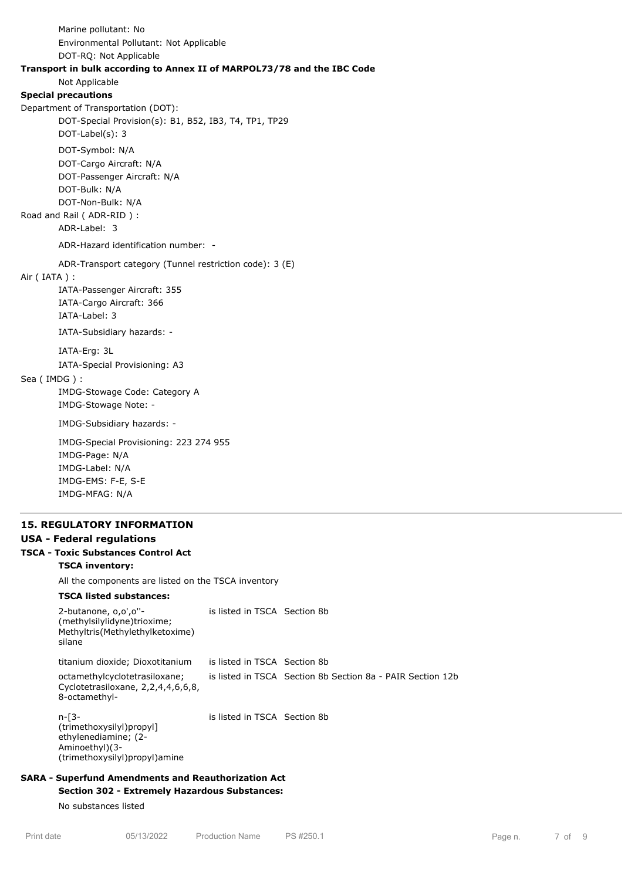Marine pollutant: No Environmental Pollutant: Not Applicable DOT-RQ: Not Applicable **Transport in bulk according to Annex II of MARPOL73/78 and the IBC Code** Not Applicable **Special precautions** Department of Transportation (DOT): DOT-Special Provision(s): B1, B52, IB3, T4, TP1, TP29 DOT-Label(s): 3 DOT-Symbol: N/A DOT-Cargo Aircraft: N/A DOT-Passenger Aircraft: N/A DOT-Bulk: N/A DOT-Non-Bulk: N/A Road and Rail ( ADR-RID ) : ADR-Label: 3 ADR-Hazard identification number: - ADR-Transport category (Tunnel restriction code): 3 (E) Air ( IATA ) : IATA-Passenger Aircraft: 355 IATA-Cargo Aircraft: 366 IATA-Label: 3 IATA-Subsidiary hazards: - IATA-Erg: 3L IATA-Special Provisioning: A3 Sea ( IMDG ) : IMDG-Stowage Code: Category A IMDG-Stowage Note: - IMDG-Subsidiary hazards: - IMDG-Special Provisioning: 223 274 955 IMDG-Page: N/A IMDG-Label: N/A IMDG-EMS: F-E, S-E IMDG-MFAG: N/A **15. REGULATORY INFORMATION USA - Federal regulations TSCA - Toxic Substances Control Act SARA - Superfund Amendments and Reauthorization Act TSCA inventory:** All the components are listed on the TSCA inventory **TSCA listed substances:** 2-butanone, o,o',o''- (methylsilylidyne)trioxime; Methyltris(Methylethylketoxime) silane is listed in TSCA Section 8b titanium dioxide; Dioxotitanium is listed in TSCA Section 8b octamethylcyclotetrasiloxane; Cyclotetrasiloxane, 2,2,4,4,6,6,8, 8-octamethylis listed in TSCA Section 8b Section 8a - PAIR Section 12b n-[3- (trimethoxysilyl)propyl] ethylenediamine; (2- Aminoethyl)(3- (trimethoxysilyl)propyl)amine is listed in TSCA Section 8b

# **Section 302 - Extremely Hazardous Substances:**

No substances listed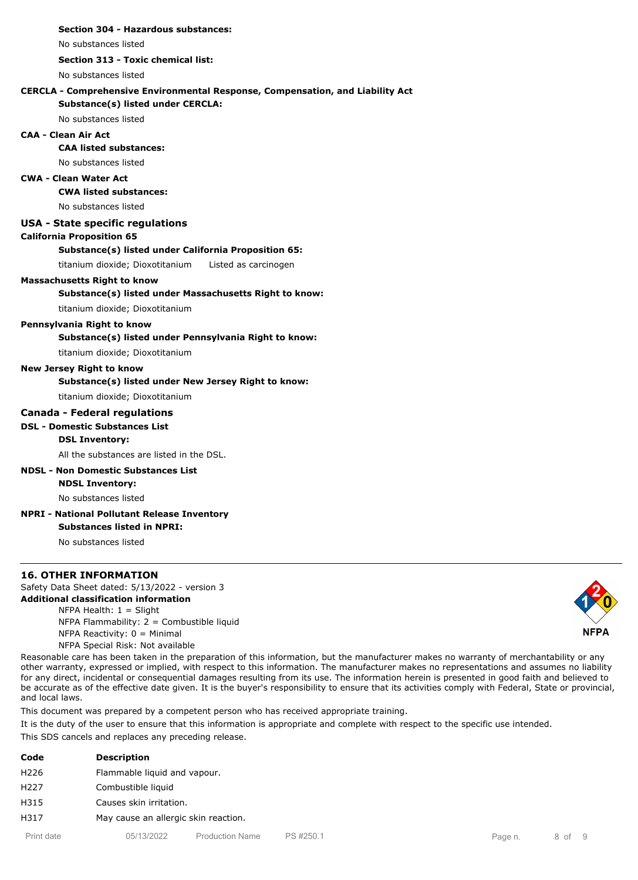## **Section 304 - Hazardous substances:**

No substances listed

## **Section 313 - Toxic chemical list:**

No substances listed

#### **CERCLA - Comprehensive Environmental Response, Compensation, and Liability Act**

**Substance(s) listed under CERCLA:**

No substances listed

#### **CAA - Clean Air Act**

## **CAA listed substances:**

No substances listed

#### **CWA - Clean Water Act**

#### **CWA listed substances:**

No substances listed

#### **USA - State specific regulations**

#### **California Proposition 65**

#### **Substance(s) listed under California Proposition 65:**

titanium dioxide; Dioxotitanium Listed as carcinogen

#### **Massachusetts Right to know**

#### **Substance(s) listed under Massachusetts Right to know:**

titanium dioxide; Dioxotitanium

#### **Pennsylvania Right to know**

#### **Substance(s) listed under Pennsylvania Right to know:**

titanium dioxide; Dioxotitanium

#### **New Jersey Right to know**

#### **Substance(s) listed under New Jersey Right to know:**

titanium dioxide; Dioxotitanium

#### **Canada - Federal regulations**

#### **DSL - Domestic Substances List**

## **DSL Inventory:**

All the substances are listed in the DSL.

#### **NDSL - Non Domestic Substances List**

#### **NDSL Inventory:**

No substances listed

## **NPRI - National Pollutant Release Inventory**

**Substances listed in NPRI:**

No substances listed

#### **16. OTHER INFORMATION**

Safety Data Sheet dated: 5/13/2022 - version 3

**Additional classification information**

## NFPA Health:  $1 =$  Slight

NFPA Flammability: 2 = Combustible liquid NFPA Reactivity:  $0 =$  Minimal

NFPA Special Risk: Not available Reasonable care has been taken in the preparation of this information, but the manufacturer makes no warranty of merchantability or any other warranty, expressed or implied, with respect to this information. The manufacturer makes no representations and assumes no liability for any direct, incidental or consequential damages resulting from its use. The information herein is presented in good faith and believed to be accurate as of the effective date given. It is the buyer's responsibility to ensure that its activities comply with Federal, State or provincial, and local laws.

This document was prepared by a competent person who has received appropriate training.

It is the duty of the user to ensure that this information is appropriate and complete with respect to the specific use intended. This SDS cancels and replaces any preceding release.

| Code             | <b>Description</b>                   |
|------------------|--------------------------------------|
| H <sub>226</sub> | Flammable liquid and vapour.         |
| H <sub>227</sub> | Combustible liquid                   |
| H315             | Causes skin irritation.              |
| H317             | May cause an allergic skin reaction. |